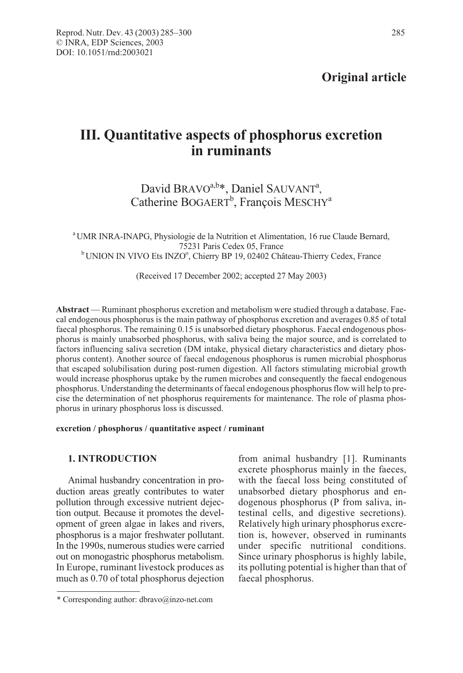# III. Quantitative aspects of phosphorus excretion in ruminants

## David BRAVO<sup>a,b\*</sup>, Daniel SAUVANT<sup>a</sup>, Catherine BOGAERT<sup>b</sup>, François MESCHY<sup>a</sup>

<sup>a</sup> UMR INRA-INAPG, Physiologie de la Nutrition et Alimentation, 16 rue Claude Bernard, 75231 Paris Cedex 05, France<br><sup>b</sup> UNION IN VIVO Ets INZO<sup>o</sup>, Chierry BP 19, 02402 Château-Thierry Cedex, France

(Received 17 December 2002; accepted 27 May 2003)

Abstract — Ruminant phosphorus excretion and metabolism were studied through a database. Faecal endogenous phosphorus is the main pathway of phosphorus excretion and averages 0.85 of total faecal phosphorus. The remaining 0.15 is unabsorbed dietary phosphorus. Faecal endogenous phosphorus is mainly unabsorbed phosphorus, with saliva being the major source, and is correlated to factors influencing saliva secretion (DM intake, physical dietary characteristics and dietary phosphorus content). Another source of faecal endogenous phosphorus is rumen microbial phosphorus that escaped solubilisation during post-rumen digestion. All factors stimulating microbial growth would increase phosphorus uptake by the rumen microbes and consequently the faecal endogenous phosphorus. Understanding the determinants of faecal endogenous phosphorus flow will help to precise the determination of net phosphorus requirements for maintenance. The role of plasma phosphorus in urinary phosphorus loss is discussed.

## excretion / phosphorus / quantitative aspect / ruminant

## 1. INTRODUCTION

Animal husbandry concentration in production areas greatly contributes to water pollution through excessive nutrient dejection output. Because it promotes the development of green algae in lakes and rivers, phosphorus is a major freshwater pollutant. In the 1990s, numerous studies were carried out on monogastric phosphorus metabolism. In Europe, ruminant livestock produces as much as 0.70 of total phosphorus dejection from animal husbandry [1]. Ruminants excrete phosphorus mainly in the faeces, with the faecal loss being constituted of unabsorbed dietary phosphorus and endogenous phosphorus (P from saliva, intestinal cells, and digestive secretions). Relatively high urinary phosphorus excretion is, however, observed in ruminants under specific nutritional conditions. Since urinary phosphorus is highly labile, its polluting potential is higher than that of faecal phosphorus.

<sup>\*</sup> Corresponding author: dbravo@inzo-net.com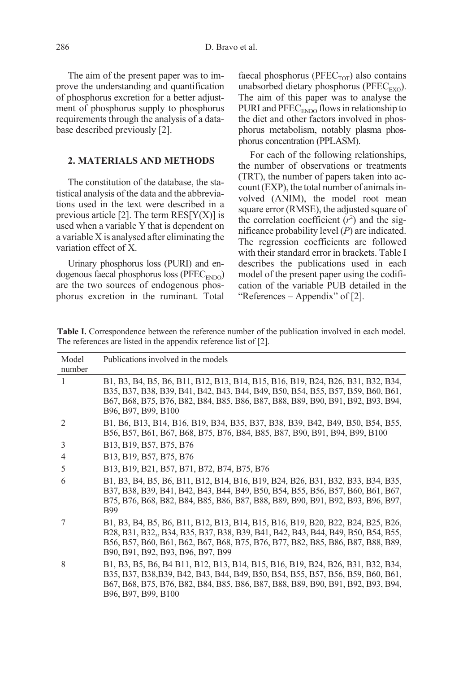The aim of the present paper was to improve the understanding and quantification of phosphorus excretion for a better adjustment of phosphorus supply to phosphorus requirements through the analysis of a database described previously [2].

## 2. MATERIALS AND METHODS

The constitution of the database, the statistical analysis of the data and the abbreviations used in the text were described in a previous article [2]. The term  $RES[Y(X)]$  is used when a variable Y that is dependent on a variable X is analysed after eliminating the variation effect of X.

Urinary phosphorus loss (PURI) and endogenous faecal phosphorus loss ( $PFEC<sub>ENDO</sub>$ ) are the two sources of endogenous phosphorus excretion in the ruminant. Total faecal phosphorus ( $PFEC<sub>TOT</sub>$ ) also contains unabsorbed dietary phosphorus ( $PFEC_{EXO}$ ). The aim of this paper was to analyse the PURI and PFEC<sub>ENDO</sub> flows in relationship to the diet and other factors involved in phosphorus metabolism, notably plasma phosphorus concentration (PPLASM).

For each of the following relationships, the number of observations or treatments (TRT), the number of papers taken into account (EXP), the total number of animals involved (ANIM), the model root mean square error (RMSE), the adjusted square of the correlation coefficient  $(r^2)$  and the significance probability level  $(P)$  are indicated. The regression coefficients are followed with their standard error in brackets. Table I describes the publications used in each model of the present paper using the codification of the variable PUB detailed in the "References – Appendix" of [2].

Table I. Correspondence between the reference number of the publication involved in each model. The references are listed in the appendix reference list of [2].

| Model<br>number | Publications involved in the models                                                                                                                                                                                                                                                         |
|-----------------|---------------------------------------------------------------------------------------------------------------------------------------------------------------------------------------------------------------------------------------------------------------------------------------------|
| 1               | B1, B3, B4, B5, B6, B11, B12, B13, B14, B15, B16, B19, B24, B26, B31, B32, B34,<br>B35, B37, B38, B39, B41, B42, B43, B44, B49, B50, B54, B55, B57, B59, B60, B61,<br>B67, B68, B75, B76, B82, B84, B85, B86, B87, B88, B89, B90, B91, B92, B93, B94,<br>B96, B97, B99, B100                |
| 2               | B1, B6, B13, B14, B16, B19, B34, B35, B37, B38, B39, B42, B49, B50, B54, B55,<br>B56, B57, B61, B67, B68, B75, B76, B84, B85, B87, B90, B91, B94, B99, B100                                                                                                                                 |
| 3               | B13, B19, B57, B75, B76                                                                                                                                                                                                                                                                     |
| 4               | B13, B19, B57, B75, B76                                                                                                                                                                                                                                                                     |
| 5               | B13, B19, B21, B57, B71, B72, B74, B75, B76                                                                                                                                                                                                                                                 |
| 6               | B1, B3, B4, B5, B6, B11, B12, B14, B16, B19, B24, B26, B31, B32, B33, B34, B35,<br>B37, B38, B39, B41, B42, B43, B44, B49, B50, B54, B55, B56, B57, B60, B61, B67,<br>B75, B76, B68, B82, B84, B85, B86, B87, B88, B89, B90, B91, B92, B93, B96, B97,<br><b>B99</b>                         |
|                 | B1, B3, B4, B5, B6, B11, B12, B13, B14, B15, B16, B19, B20, B22, B24, B25, B26,<br>B28, B31, B32,, B34, B35, B37, B38, B39, B41, B42, B43, B44, B49, B50, B54, B55,<br>B56, B57, B60, B61, B62, B67, B68, B75, B76, B77, B82, B85, B86, B87, B88, B89,<br>B90, B91, B92, B93, B96, B97, B99 |
| 8               | B1, B3, B5, B6, B4 B11, B12, B13, B14, B15, B16, B19, B24, B26, B31, B32, B34,<br>B35, B37, B38, B39, B42, B43, B44, B49, B50, B54, B55, B57, B56, B59, B60, B61,<br>B67, B68, B75, B76, B82, B84, B85, B86, B87, B88, B89, B90, B91, B92, B93, B94,<br>B96, B97, B99, B100                 |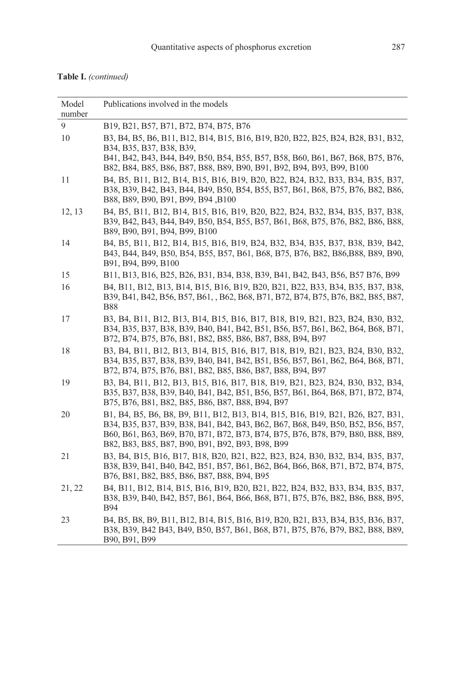|  | <b>Table I.</b> (continued) |  |
|--|-----------------------------|--|
|--|-----------------------------|--|

| Model<br>number | Publications involved in the models                                                                                                                                                                                                                                                                      |
|-----------------|----------------------------------------------------------------------------------------------------------------------------------------------------------------------------------------------------------------------------------------------------------------------------------------------------------|
| 9               | B19, B21, B57, B71, B72, B74, B75, B76                                                                                                                                                                                                                                                                   |
| 10              | B3, B4, B5, B6, B11, B12, B14, B15, B16, B19, B20, B22, B25, B24, B28, B31, B32,<br>B34, B35, B37, B38, B39,<br>B41, B42, B43, B44, B49, B50, B54, B55, B57, B58, B60, B61, B67, B68, B75, B76,<br>B82, B84, B85, B86, B87, B88, B89, B90, B91, B92, B94, B93, B99, B100                                 |
| 11              | B4, B5, B11, B12, B14, B15, B16, B19, B20, B22, B24, B32, B33, B34, B35, B37,<br>B38, B39, B42, B43, B44, B49, B50, B54, B55, B57, B61, B68, B75, B76, B82, B86,<br>B88, B89, B90, B91, B99, B94, B100                                                                                                   |
| 12, 13          | B4, B5, B11, B12, B14, B15, B16, B19, B20, B22, B24, B32, B34, B35, B37, B38,<br>B39, B42, B43, B44, B49, B50, B54, B55, B57, B61, B68, B75, B76, B82, B86, B88,<br>B89, B90, B91, B94, B99, B100                                                                                                        |
| 14              | B4, B5, B11, B12, B14, B15, B16, B19, B24, B32, B34, B35, B37, B38, B39, B42,<br>B43, B44, B49, B50, B54, B55, B57, B61, B68, B75, B76, B82, B86, B88, B89, B90,<br>B91, B94, B99, B100                                                                                                                  |
| 15              | B11, B13, B16, B25, B26, B31, B34, B38, B39, B41, B42, B43, B56, B57 B76, B99                                                                                                                                                                                                                            |
| 16              | B4, B11, B12, B13, B14, B15, B16, B19, B20, B21, B22, B33, B34, B35, B37, B38,<br>B39, B41, B42, B56, B57, B61, , B62, B68, B71, B72, B74, B75, B76, B82, B85, B87,<br><b>B88</b>                                                                                                                        |
| 17              | B3, B4, B11, B12, B13, B14, B15, B16, B17, B18, B19, B21, B23, B24, B30, B32,<br>B34, B35, B37, B38, B39, B40, B41, B42, B51, B56, B57, B61, B62, B64, B68, B71,<br>B72, B74, B75, B76, B81, B82, B85, B86, B87, B88, B94, B97                                                                           |
| 18              | B3, B4, B11, B12, B13, B14, B15, B16, B17, B18, B19, B21, B23, B24, B30, B32,<br>B34, B35, B37, B38, B39, B40, B41, B42, B51, B56, B57, B61, B62, B64, B68, B71,<br>B72, B74, B75, B76, B81, B82, B85, B86, B87, B88, B94, B97                                                                           |
| 19              | B3, B4, B11, B12, B13, B15, B16, B17, B18, B19, B21, B23, B24, B30, B32, B34,<br>B35, B37, B38, B39, B40, B41, B42, B51, B56, B57, B61, B64, B68, B71, B72, B74,<br>B75, B76, B81, B82, B85, B86, B87, B88, B94, B97                                                                                     |
| 20              | B1, B4, B5, B6, B8, B9, B11, B12, B13, B14, B15, B16, B19, B21, B26, B27, B31,<br>B34, B35, B37, B39, B38, B41, B42, B43, B62, B67, B68, B49, B50, B52, B56, B57,<br>B60, B61, B63, B69, B70, B71, B72, B73, B74, B75, B76, B78, B79, B80, B88, B89,<br>B82, B83, B85, B87, B90, B91, B92, B93, B98, B99 |
| 21              | B3, B4, B15, B16, B17, B18, B20, B21, B22, B23, B24, B30, B32, B34, B35, B37,<br>B38, B39, B41, B40, B42, B51, B57, B61, B62, B64, B66, B68, B71, B72, B74, B75,<br>B76, B81, B82, B85, B86, B87, B88, B94, B95                                                                                          |
| 21, 22          | B4, B11, B12, B14, B15, B16, B19, B20, B21, B22, B24, B32, B33, B34, B35, B37,<br>B38, B39, B40, B42, B57, B61, B64, B66, B68, B71, B75, B76, B82, B86, B88, B95,<br><b>B94</b>                                                                                                                          |
| 23              | B4, B5, B8, B9, B11, B12, B14, B15, B16, B19, B20, B21, B33, B34, B35, B36, B37,<br>B38, B39, B42 B43, B49, B50, B57, B61, B68, B71, B75, B76, B79, B82, B88, B89,<br>B90, B91, B99                                                                                                                      |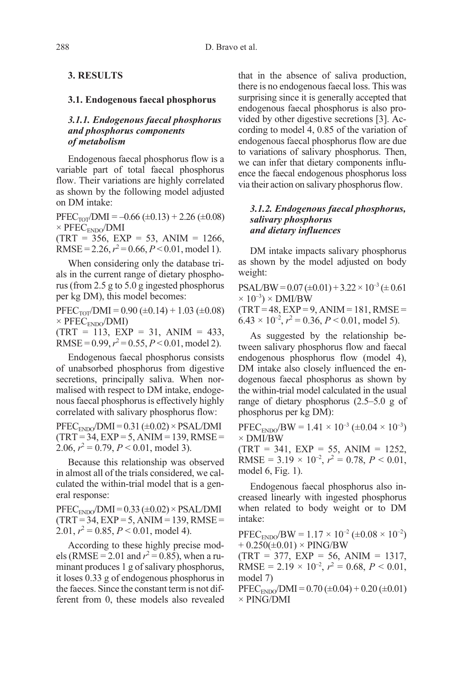## 3. RESULTS

#### 3.1. Endogenous faecal phosphorus

## 3.1.1. Endogenous faecal phosphorus and phosphorus components of metabolism

Endogenous faecal phosphorus flow is a variable part of total faecal phosphorus flow. Their variations are highly correlated as shown by the following model adjusted on DM intake:

 $PFEC<sub>TOT</sub>/DMI = -0.66 (\pm 0.13) + 2.26 (\pm 0.08)$  $\times$  PFEC<sub>ENDO</sub>/DMI  $(TRT = 356, EXP = 53, ANIM = 1266,$ RMSE = 2.26,  $r^2$  = 0.66,  $P$  < 0.01, model 1).

When considering only the database trials in the current range of dietary phosphorus (from 2.5 g to 5.0 g ingested phosphorus per kg DM), this model becomes:

 $\text{PFEC}_{\text{TOT}}/|\text{DMI}| = 0.90 \ (\pm 0.14) + 1.03 \ (\pm 0.08)$  $\times$  PFEC<sub>ENDO</sub>/DMI)  $(TRT = 113, EXP = 31, ANIM = 433,$ 

RMSE =  $0.99, r^2 = 0.55, P < 0.01, \text{model 2}.$ 

Endogenous faecal phosphorus consists of unabsorbed phosphorus from digestive secretions, principally saliva. When normalised with respect to DM intake, endogenous faecal phosphorus is effectively highly correlated with salivary phosphorus flow:

 $PFEC<sub>ENDO</sub>/DMI = 0.31 (\pm 0.02) \times PSAL/DMI$  $(TRT = 34, EXP = 5, ANIM = 139, RMSE =$ 2.06,  $r^2 = 0.79$ ,  $P < 0.01$ , model 3).

Because this relationship was observed in almost all of the trials considered, we calculated the within-trial model that is a general response:

 $PFEC<sub>ENDO</sub>/DMI = 0.33 (\pm 0.02) \times PSAL/DMI$  $(TRT = 34, EXP = 5, ANIM = 139, RMSE =$ 2.01,  $r^2 = 0.85$ ,  $P < 0.01$ , model 4).

According to these highly precise models (RMSE = 2.01 and  $r^2$  = 0.85), when a ruminant produces 1 g of salivary phosphorus, it loses 0.33 g of endogenous phosphorus in the faeces. Since the constant term is not different from 0, these models also revealed that in the absence of saliva production, there is no endogenous faecal loss. This was surprising since it is generally accepted that endogenous faecal phosphorus is also provided by other digestive secretions [3]. According to model 4, 0.85 of the variation of endogenous faecal phosphorus flow are due to variations of salivary phosphorus. Then, we can infer that dietary components influence the faecal endogenous phosphorus loss via their action on salivary phosphorus flow.

## 3.1.2. Endogenous faecal phosphorus, salivary phosphorus and dietary influences

DM intake impacts salivary phosphorus as shown by the model adjusted on body weight:

 $PSAL/BW = 0.07 (\pm 0.01) + 3.22 \times 10^{-3} (\pm 0.61)$  $\times$  10<sup>-3</sup>)  $\times$  DMI/BW

 $(TRT = 48, EXP = 9, ANIM = 181, RMSE =$  $6.43 \times 10^{-2}$ ,  $r^2 = 0.36$ ,  $P < 0.01$ , model 5).

As suggested by the relationship between salivary phosphorus flow and faecal endogenous phosphorus flow (model 4), DM intake also closely influenced the endogenous faecal phosphorus as shown by the within-trial model calculated in the usual range of dietary phosphorus (2.5–5.0 g of phosphorus per kg DM):

 $PFEC_{ENDO}/BW = 1.41 \times 10^{-3} (\pm 0.04 \times 10^{-3})$ × DMI/BW

 $(TRT = 341, EXP = 55, ANIM = 1252,$ RMSE =  $3.19 \times 10^{-2}$ ,  $r^2 = 0.78$ ,  $P < 0.01$ , model 6, Fig. 1).

Endogenous faecal phosphorus also increased linearly with ingested phosphorus when related to body weight or to DM intake:

 $PFEC_{ENDO}/BW = 1.17 \times 10^{-2} (\pm 0.08 \times 10^{-2})$  $+ 0.250(\pm 0.01) \times PING/BW$ 

 $(TRT = 377, EXP = 56, ANIM = 1317,$ RMSE =  $2.19 \times 10^{-2}$ ,  $r^2 = 0.68$ ,  $P < 0.01$ , model 7)

 $PFEC_{ENDO}/DMI = 0.70 \ (\pm 0.04) + 0.20 \ (\pm 0.01)$ × PING/DMI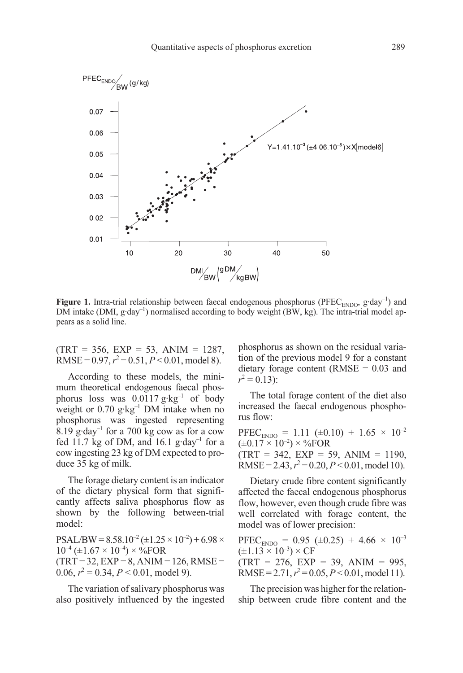

Figure 1. Intra-trial relationship between faecal endogenous phosphorus (PFEC<sub>ENDO</sub>, g·day<sup>-1</sup>) and DM intake (DMI,  $g \cdot day^{-1}$ ) normalised according to body weight (BW, kg). The intra-trial model appears as a solid line.

 $(TRT = 356, EXP = 53, ANIM = 1287,$ RMSE =  $0.97, r^2 = 0.51, P < 0.01$ , model 8).

According to these models, the minimum theoretical endogenous faecal phosphorus loss was  $0.0117 \text{ g} \cdot \text{kg}^{-1}$  of body weight or  $0.70$  g·kg<sup>-1</sup> DM intake when no phosphorus was ingested representing 8.19 g·day<sup>-1</sup> for a 700 kg cow as for a cow fed 11.7 kg of DM, and 16.1 g·day<sup>-1</sup> for a cow ingesting 23 kg of DM expected to produce 35 kg of milk.

The forage dietary content is an indicator of the dietary physical form that significantly affects saliva phosphorus flow as shown by the following between-trial model:

 $PSAL/BW = 8.58.10^{-2} (\pm 1.25 \times 10^{-2}) + 6.98 \times$  $10^{-4}$  (±1.67 × 10<sup>-4</sup>) × %FOR  $(TRT = 32, EXP = 8, ANIM = 126, RMSE =$ 0.06,  $r^2 = 0.34$ ,  $P < 0.01$ , model 9).

The variation of salivary phosphorus was also positively influenced by the ingested phosphorus as shown on the residual variation of the previous model 9 for a constant dietary forage content ( $RMSE = 0.03$  and  $r^2 = 0.13$ :

The total forage content of the diet also increased the faecal endogenous phosphorus flow:

PFEC<sub>ENDO</sub> = 1.11 ( $\pm$ 0.10) + 1.65 × 10<sup>-2</sup>  $(\pm 0.17 \times 10^{-2}) \times \%$ FOR  $(TRT = 342, EXP = 59, ANIM = 1190,$ RMSE = 2.43,  $r^2$  = 0.20,  $P < 0.01$ , model 10).

Dietary crude fibre content significantly affected the faecal endogenous phosphorus flow, however, even though crude fibre was well correlated with forage content, the model was of lower precision:

PFEC<sub>ENDO</sub> = 0.95 ( $\pm$ 0.25) + 4.66 × 10<sup>-3</sup>  $(\pm 1.13 \times 10^{-3}) \times CF$  $(TRT = 276, EXP = 39, ANIM = 995,$ RMSE =  $2.71, r^2 = 0.05, P < 0.01$ , model 11).

The precision was higher for the relationship between crude fibre content and the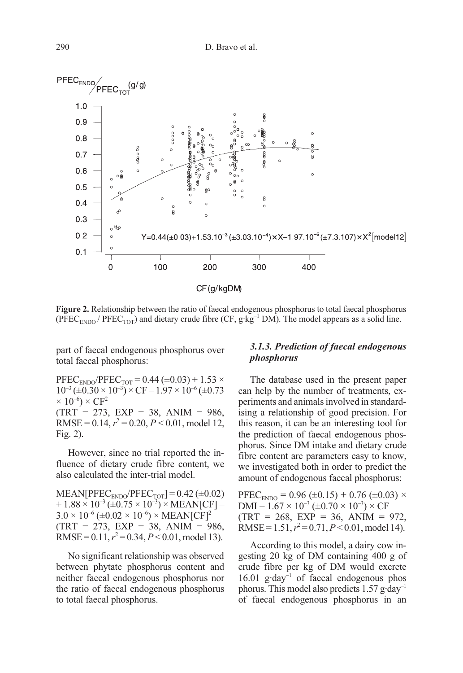

Figure 2. Relationship between the ratio of faecal endogenous phosphorus to total faecal phosphorus (PFEC<sub>ENDO</sub> / PFEC<sub>TOT</sub>) and dietary crude fibre (CF, g·kg<sup>-1</sup> DM). The model appears as a solid line.

part of faecal endogenous phosphorus over total faecal phosphorus:

 $PFEC_{ENDO}/PFEC_{TOT} = 0.44 (\pm 0.03) + 1.53 \times$  $10^{-3} (\pm 0.30 \times 10^{-3}) \times CF - 1.97 \times 10^{-6} (\pm 0.73)$  $\times 10^{-6}$ )  $\times$  CF<sup>2</sup>  $(TRT = 273, EXP = 38, ANIM = 986,$ RMSE =  $0.14$ ,  $r^2 = 0.20$ ,  $P < 0.01$ , model 12, Fig. 2).

However, since no trial reported the influence of dietary crude fibre content, we also calculated the inter-trial model.

 $MEAN[PEC<sub>ENDO</sub>/PFEC<sub>TOT</sub>] = 0.42 (\pm 0.02)$  $+ 1.88 \times 10^{-3} (\pm 0.75 \times 10^{-3}) \times MEAN[CF] 3.0 \times 10^{-6}$  (±0.02  $\times 10^{-6}$ )  $\times$  MEAN[CF]<sup>2</sup>  $(TRT = 273, EXP = 38, ANIM = 986,$ RMSE =  $0.11$ ,  $r^2 = 0.34$ ,  $P < 0.01$ , model 13).

No significant relationship was observed between phytate phosphorus content and neither faecal endogenous phosphorus nor the ratio of faecal endogenous phosphorus to total faecal phosphorus.

## 3.1.3. Prediction of faecal endogenous phosphorus

The database used in the present paper can help by the number of treatments, experiments and animals involved in standardising a relationship of good precision. For this reason, it can be an interesting tool for the prediction of faecal endogenous phosphorus. Since DM intake and dietary crude fibre content are parameters easy to know, we investigated both in order to predict the amount of endogenous faecal phosphorus:

 $PFEC<sub>ENDO</sub> = 0.96 (\pm 0.15) + 0.76 (\pm 0.03) \times$  $DMI - 1.67 \times 10^{-3} (\pm 0.70 \times 10^{-3}) \times CF$  $(TRT = 268, EXP = 36, ANIM = 972,$ RMSE =  $1.51, r^2 = 0.71, P < 0.01$ , model 14).

According to this model, a dairy cow ingesting 20 kg of DM containing 400 g of crude fibre per kg of DM would excrete 16.01  $g \cdot day^{-1}$  of faecal endogenous phos phorus. This model also predicts  $1.57$  g·day<sup>-1</sup> of faecal endogenous phosphorus in an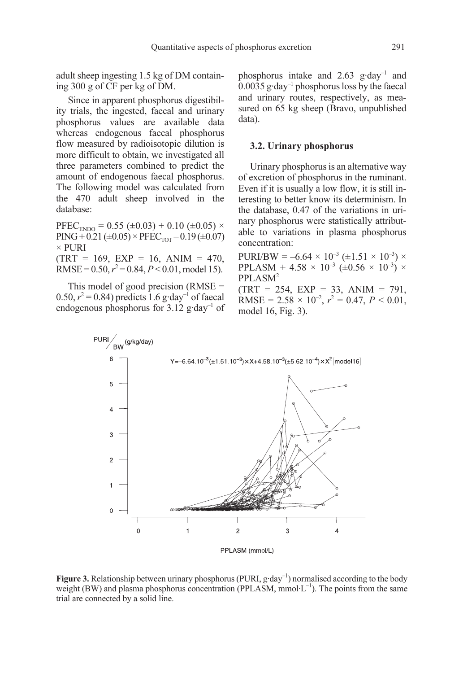adult sheep ingesting 1.5 kg of DM containing 300 g of CF per kg of DM.

Since in apparent phosphorus digestibility trials, the ingested, faecal and urinary phosphorus values are available data whereas endogenous faecal phosphorus flow measured by radioisotopic dilution is more difficult to obtain, we investigated all three parameters combined to predict the amount of endogenous faecal phosphorus. The following model was calculated from the 470 adult sheep involved in the database:

 $PFEC<sub>ENDO</sub> = 0.55 (\pm 0.03) + 0.10 (\pm 0.05) \times$  $PING + 0.21 (\pm 0.05) \times PFEC<sub>TOT</sub> - 0.19 (\pm 0.07)$ × PURI  $(TRT = 169, EXP = 16, ANIM = 470,$ RMSE =  $0.50, r^2 = 0.84, P < 0.01$ , model 15).

This model of good precision (RMSE = 0.50,  $r^2$  = 0.84) predicts 1.6 g·day<sup>-1</sup> of faecal endogenous phosphorus for  $3.12$  g·day<sup>-1</sup> of phosphorus intake and 2.63 g·day–1 and  $0.0035$  g·day<sup>-1</sup> phosphorus loss by the faecal and urinary routes, respectively, as measured on 65 kg sheep (Bravo, unpublished data).

## 3.2. Urinary phosphorus

Urinary phosphorus is an alternative way of excretion of phosphorus in the ruminant. Even if it is usually a low flow, it is still interesting to better know its determinism. In the database, 0.47 of the variations in urinary phosphorus were statistically attributable to variations in plasma phosphorus concentration:

 $PURI/BW = -6.64 \times 10^{-3} (\pm 1.51 \times 10^{-3}) \times$ PPLASM + 4.58  $\times$  10<sup>-3</sup> (±0.56  $\times$  10<sup>-3</sup>)  $\times$ PPLASM2  $(TRT = 254, EXP = 33, ANIM = 791,$ RMSE =  $2.58 \times 10^{-2}$ ,  $r^2 = 0.47$ ,  $P < 0.01$ , model 16, Fig. 3).



Figure 3. Relationship between urinary phosphorus (PURI,  $g \cdot day^{-1}$ ) normalised according to the body weight (BW) and plasma phosphorus concentration (PPLASM,  $mmol·L^{-1}$ ). The points from the same trial are connected by a solid line.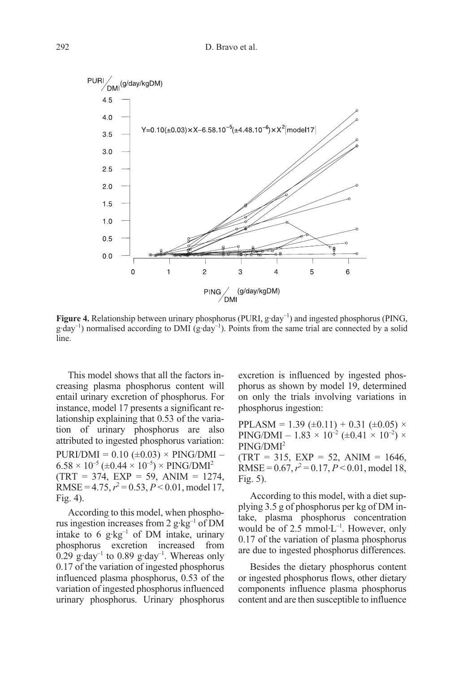

**Figure 4.** Relationship between urinary phosphorus (PURI,  $g \cdot day^{-1}$ ) and ingested phosphorus (PING,  $g \cdot day^{-1}$ ) normalised according to DMI ( $g \cdot day^{-1}$ ). Points from the same trial are connected by a solid line.

This model shows that all the factors increasing plasma phosphorus content will entail urinary excretion of phosphorus. For instance, model 17 presents a significant relationship explaining that 0.53 of the variation of urinary phosphorus are also attributed to ingested phosphorus variation:  $PURI/DMI = 0.10 \ (\pm 0.03) \times PING/DMI 6.58 \times 10^{-5}$  (±0.44  $\times 10^{-5}$ )  $\times$  PING/DMI<sup>2</sup>  $(TRT = 374, EXP = 59, ANIM = 1274,$ RMSE =  $4.75, r^2 = 0.53, P < 0.01$ , model 17, Fig. 4).

According to this model, when phosphorus ingestion increases from 2  $g \cdot kg^{-1}$  of DM intake to 6  $g \cdot kg^{-1}$  of DM intake, urinary phosphorus excretion increased from  $0.29$  g·day<sup>-1</sup> to 0.89 g·day<sup>-1</sup>. Whereas only 0.17 of the variation of ingested phosphorus influenced plasma phosphorus, 0.53 of the variation of ingested phosphorus influenced urinary phosphorus. Urinary phosphorus excretion is influenced by ingested phosphorus as shown by model 19, determined on only the trials involving variations in phosphorus ingestion:

PPLASM = 1.39 ( $\pm$ 0.11) + 0.31 ( $\pm$ 0.05)  $\times$ PING/DMI – 1.83  $\times$  10<sup>-2</sup> ( $\pm$ 0.41  $\times$  10<sup>-2</sup>)  $\times$ PING/DMI2  $(TRT = 315, EXP = 52, ANIM = 1646,$ RMSE =  $0.67, r^2 = 0.17, P < 0.01$ , model 18, Fig. 5).

According to this model, with a diet supplying 3.5 g of phosphorus per kg of DM intake, plasma phosphorus concentration would be of  $2.5 \text{ mmol·L}^{-1}$ . However, only 0.17 of the variation of plasma phosphorus are due to ingested phosphorus differences.

Besides the dietary phosphorus content or ingested phosphorus flows, other dietary components influence plasma phosphorus content and are then susceptible to influence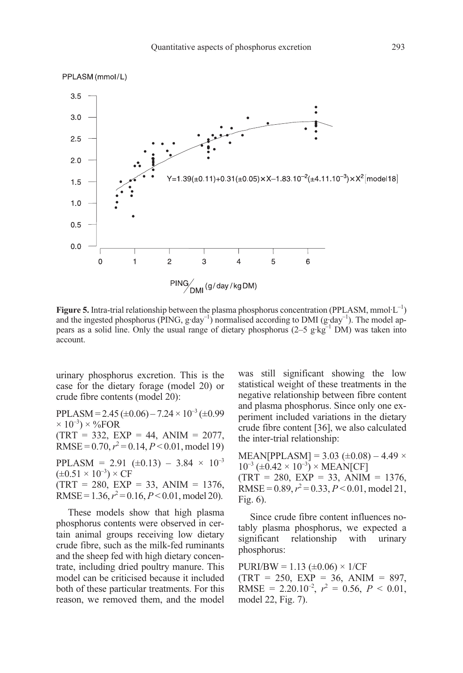

**Figure 5.** Intra-trial relationship between the plasma phosphorus concentration (PPLASM, mmol·L<sup>-1</sup>) and the ingested phosphorus (PING,  $g \cdot day^{-1}$ ) normalised according to DMI ( $g \cdot day^{-1}$ ). The model appears as a solid line. Only the usual range of dietary phosphorus  $(2-5 \text{ g} \cdot \text{kg}^{-1} \text{ DM})$  was taken into account.

urinary phosphorus excretion. This is the case for the dietary forage (model 20) or crude fibre contents (model 20):

 $PPLASM = 2.45 \ (\pm 0.06) - 7.24 \times 10^{-3} \ (\pm 0.99)$  $\times$  10<sup>-3</sup>)  $\times$  %FOR  $(TRT = 332, EXP = 44, ANIM = 2077,$  $RMSE = 0.70, r^2 = 0.14, P < 0.01, \text{model } 19$ PPLASM = 2.91 ( $\pm$ 0.13) – 3.84  $\times$  10<sup>-3</sup>  $(\pm 0.51 \times 10^{-3}) \times CF$  $(TRT = 280, EXP = 33, ANIM = 1376,$ RMSE =  $1.36, r^2 = 0.16, P < 0.01, \text{model } 20$ .

These models show that high plasma phosphorus contents were observed in certain animal groups receiving low dietary crude fibre, such as the milk-fed ruminants and the sheep fed with high dietary concentrate, including dried poultry manure. This model can be criticised because it included both of these particular treatments. For this reason, we removed them, and the model was still significant showing the low statistical weight of these treatments in the negative relationship between fibre content and plasma phosphorus. Since only one experiment included variations in the dietary crude fibre content [36], we also calculated the inter-trial relationship:

 $MEAN[PPLASM] = 3.03 (\pm 0.08) - 4.49 \times$  $10^{-3}$  (±0.42 × 10<sup>-3</sup>) × MEAN[CF]  $(TRT = 280, EXP = 33, ANIM = 1376,$ RMSE =  $0.89$ ,  $r^2 = 0.33$ ,  $P < 0.01$ , model 21, Fig. 6).

Since crude fibre content influences notably plasma phosphorus, we expected a significant relationship with urinary phosphorus:

 $PURI/BW = 1.13 (\pm 0.06) \times 1/CF$  $(TRT = 250, EXP = 36, ANIM = 897,$ RMSE = 2.20.10<sup>-2</sup>,  $r^2 = 0.56$ ,  $P < 0.01$ , model 22, Fig. 7).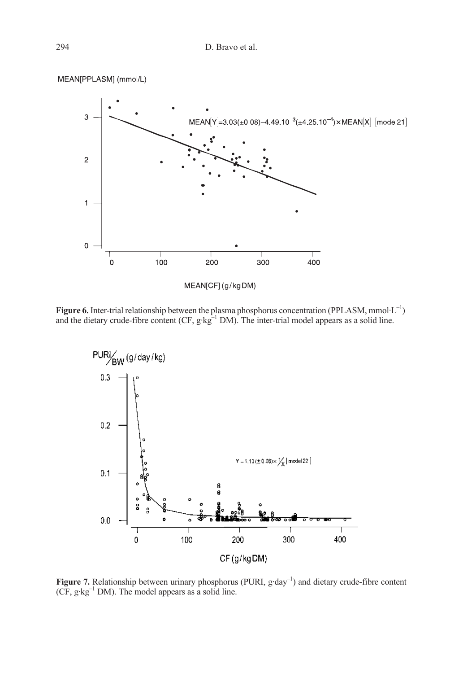

Figure 6. Inter-trial relationship between the plasma phosphorus concentration (PPLASM, mmol $\text{L}^{-1}$ ) and the dietary crude-fibre content (CF,  $g \, kg^{-1}$  DM). The inter-trial model appears as a solid line.



Figure 7. Relationship between urinary phosphorus (PURI,  $g \cdot day^{-1}$ ) and dietary crude-fibre content  $(CF, g \cdot kg^{-1} DM)$ . The model appears as a solid line.

MEAN[PPLASM] (mmol/L)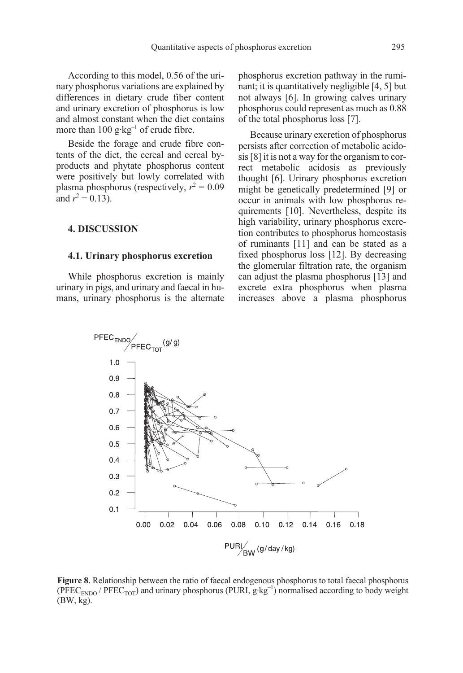According to this model, 0.56 of the urinary phosphorus variations are explained by differences in dietary crude fiber content and urinary excretion of phosphorus is low and almost constant when the diet contains more than  $100 \text{ g} \cdot \text{kg}^{-1}$  of crude fibre.

Beside the forage and crude fibre contents of the diet, the cereal and cereal byproducts and phytate phosphorus content were positively but lowly correlated with plasma phosphorus (respectively,  $r^2 = 0.09$ and  $r^2 = 0.13$ ).

## 4. DISCUSSION

#### 4.1. Urinary phosphorus excretion

While phosphorus excretion is mainly urinary in pigs, and urinary and faecal in humans, urinary phosphorus is the alternate phosphorus excretion pathway in the ruminant; it is quantitatively negligible [4, 5] but not always [6]. In growing calves urinary phosphorus could represent as much as 0.88 of the total phosphorus loss [7].

Because urinary excretion of phosphorus persists after correction of metabolic acidosis [8] it is not a way for the organism to correct metabolic acidosis as previously thought [6]. Urinary phosphorus excretion might be genetically predetermined [9] or occur in animals with low phosphorus requirements [10]. Nevertheless, despite its high variability, urinary phosphorus excretion contributes to phosphorus homeostasis of ruminants [11] and can be stated as a fixed phosphorus loss [12]. By decreasing the glomerular filtration rate, the organism can adjust the plasma phosphorus [13] and excrete extra phosphorus when plasma increases above a plasma phosphorus



Figure 8. Relationship between the ratio of faecal endogenous phosphorus to total faecal phosphorus  $(PFEC<sub>ENDO</sub> / PFEC<sub>TOT</sub>)$  and urinary phosphorus (PURI,  $g \cdot kg^{-1}$ ) normalised according to body weight (BW, kg).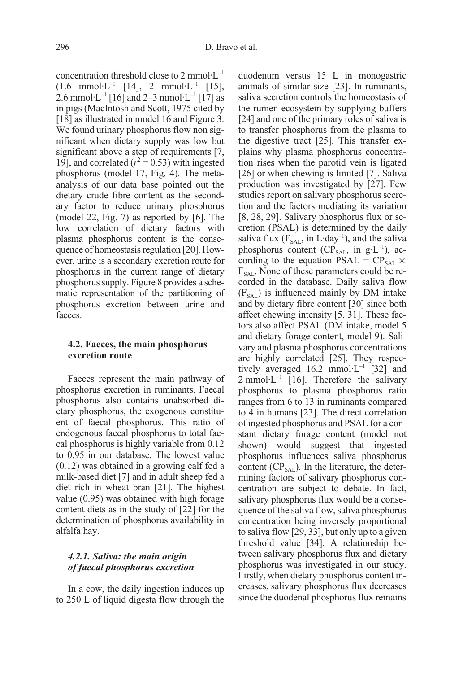concentration threshold close to 2 mmol·L–1  $(1.6 \text{mmol·L}^{-1} [14], 2 \text{mmol·L}^{-1} [15],$ 2.6 mmol·L<sup>-1</sup> [16] and 2–3 mmol·L<sup>-1</sup> [17] as in pigs (MacIntosh and Scott, 1975 cited by [18] as illustrated in model 16 and Figure 3. We found urinary phosphorus flow non significant when dietary supply was low but significant above a step of requirements [7, 19], and correlated ( $r^2$  = 0.53) with ingested phosphorus (model 17, Fig. 4). The metaanalysis of our data base pointed out the dietary crude fibre content as the secondary factor to reduce urinary phosphorus (model 22, Fig. 7) as reported by [6]. The low correlation of dietary factors with plasma phosphorus content is the consequence of homeostasis regulation [20]. However, urine is a secondary excretion route for phosphorus in the current range of dietary phosphorus supply. Figure 8 provides a schematic representation of the partitioning of phosphorus excretion between urine and faeces.

## 4.2. Faeces, the main phosphorus excretion route

Faeces represent the main pathway of phosphorus excretion in ruminants. Faecal phosphorus also contains unabsorbed dietary phosphorus, the exogenous constituent of faecal phosphorus. This ratio of endogenous faecal phosphorus to total faecal phosphorus is highly variable from 0.12 to 0.95 in our database. The lowest value (0.12) was obtained in a growing calf fed a milk-based diet [7] and in adult sheep fed a diet rich in wheat bran [21]. The highest value (0.95) was obtained with high forage content diets as in the study of [22] for the determination of phosphorus availability in alfalfa hay.

## 4.2.1. Saliva: the main origin of faecal phosphorus excretion

In a cow, the daily ingestion induces up to 250 L of liquid digesta flow through the

duodenum versus 15 L in monogastric animals of similar size [23]. In ruminants, saliva secretion controls the homeostasis of the rumen ecosystem by supplying buffers [24] and one of the primary roles of saliva is to transfer phosphorus from the plasma to the digestive tract [25]. This transfer explains why plasma phosphorus concentration rises when the parotid vein is ligated [26] or when chewing is limited [7]. Saliva production was investigated by [27]. Few studies report on salivary phosphorus secretion and the factors mediating its variation [8, 28, 29]. Salivary phosphorus flux or secretion (PSAL) is determined by the daily saliva flux ( $F_{SAI}$ , in L·day<sup>-1</sup>), and the saliva phosphorus content ( $CP<sub>SAL</sub>$ , in  $g<sup>-1</sup>$ ), according to the equation PSAL =  $CP_{\text{SAL}} \times$  $F_{SAI}$ . None of these parameters could be recorded in the database. Daily saliva flow  $(F<sub>SAI</sub>)$  is influenced mainly by DM intake and by dietary fibre content [30] since both affect chewing intensity [5, 31]. These factors also affect PSAL (DM intake, model 5 and dietary forage content, model 9). Salivary and plasma phosphorus concentrations are highly correlated [25]. They respectively averaged  $16.2$  mmol $\cdot$ L<sup>-1</sup> [32] and 2 mmol·L<sup>-1</sup> [16]. Therefore the salivary phosphorus to plasma phosphorus ratio ranges from 6 to 13 in ruminants compared to 4 in humans [23]. The direct correlation of ingested phosphorus and PSAL for a constant dietary forage content (model not shown) would suggest that ingested phosphorus influences saliva phosphorus content  $(CP<sub>SAI</sub>)$ . In the literature, the determining factors of salivary phosphorus concentration are subject to debate. In fact, salivary phosphorus flux would be a consequence of the saliva flow, saliva phosphorus concentration being inversely proportional to saliva flow [29, 33], but only up to a given threshold value [34]. A relationship between salivary phosphorus flux and dietary phosphorus was investigated in our study. Firstly, when dietary phosphorus content increases, salivary phosphorus flux decreases since the duodenal phosphorus flux remains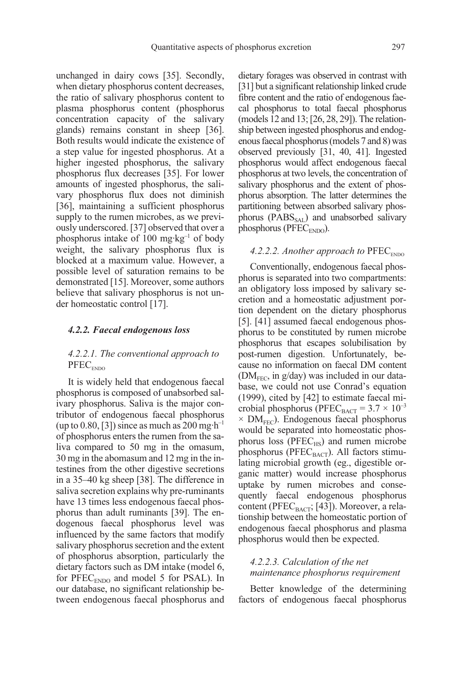unchanged in dairy cows [35]. Secondly, when dietary phosphorus content decreases, the ratio of salivary phosphorus content to plasma phosphorus content (phosphorus concentration capacity of the salivary glands) remains constant in sheep [36]. Both results would indicate the existence of a step value for ingested phosphorus. At a higher ingested phosphorus, the salivary phosphorus flux decreases [35]. For lower amounts of ingested phosphorus, the salivary phosphorus flux does not diminish [36], maintaining a sufficient phosphorus supply to the rumen microbes, as we previously underscored. [37] observed that over a phosphorus intake of 100 mg·kg $^{-1}$  of body weight, the salivary phosphorus flux is blocked at a maximum value. However, a possible level of saturation remains to be demonstrated [15]. Moreover, some authors believe that salivary phosphorus is not under homeostatic control [17].

#### 4.2.2. Faecal endogenous loss

## 4.2.2.1. The conventional approach to  $PFEC_{ENDO}$

It is widely held that endogenous faecal phosphorus is composed of unabsorbed salivary phosphorus. Saliva is the major contributor of endogenous faecal phosphorus (up to 0.80, [3]) since as much as  $200 \text{ mg} \cdot \text{h}^{-1}$ of phosphorus enters the rumen from the saliva compared to 50 mg in the omasum, 30 mg in the abomasum and 12 mg in the intestines from the other digestive secretions in a 35–40 kg sheep [38]. The difference in saliva secretion explains why pre-ruminants have 13 times less endogenous faecal phosphorus than adult ruminants [39]. The endogenous faecal phosphorus level was influenced by the same factors that modify salivary phosphorus secretion and the extent of phosphorus absorption, particularly the dietary factors such as DM intake (model 6, for  $PFEC_{ENDO}$  and model 5 for PSAL). In our database, no significant relationship between endogenous faecal phosphorus and dietary forages was observed in contrast with [31] but a significant relationship linked crude fibre content and the ratio of endogenous faecal phosphorus to total faecal phosphorus (models 12 and 13; [26, 28, 29]). The relationship between ingested phosphorus and endogenous faecal phosphorus (models 7 and 8) was observed previously [31, 40, 41]. Ingested phosphorus would affect endogenous faecal phosphorus at two levels, the concentration of salivary phosphorus and the extent of phosphorus absorption. The latter determines the partitioning between absorbed salivary phosphorus ( $P\text{ABS}_{\text{SAL}}$ ) and unabsorbed salivary phosphorus (PFEC<sub>ENDO</sub>).

### 4.2.2.2. Another approach to  $PFEC<sub>ENDO</sub>$

Conventionally, endogenous faecal phosphorus is separated into two compartments: an obligatory loss imposed by salivary secretion and a homeostatic adjustment portion dependent on the dietary phosphorus [5]. [41] assumed faecal endogenous phosphorus to be constituted by rumen microbe phosphorus that escapes solubilisation by post-rumen digestion. Unfortunately, because no information on faecal DM content  $(DM<sub>FEC</sub>, in g/day)$  was included in our database, we could not use Conrad's equation (1999), cited by [42] to estimate faecal microbial phosphorus (PFEC<sub>BACT</sub> =  $3.7 \times 10^{-3}$  $\times$  DM<sub>FEC</sub>). Endogenous faecal phosphorus would be separated into homeostatic phosphorus loss ( $PFEC_{HS}$ ) and rumen microbe phosphorus (PFEC $_{\text{BACT}}$ ). All factors stimulating microbial growth (eg., digestible organic matter) would increase phosphorus uptake by rumen microbes and consequently faecal endogenous phosphorus content (PFEC $_{\text{BACT}}$ ; [43]). Moreover, a relationship between the homeostatic portion of endogenous faecal phosphorus and plasma phosphorus would then be expected.

## 4.2.2.3. Calculation of the net maintenance phosphorus requirement

Better knowledge of the determining factors of endogenous faecal phosphorus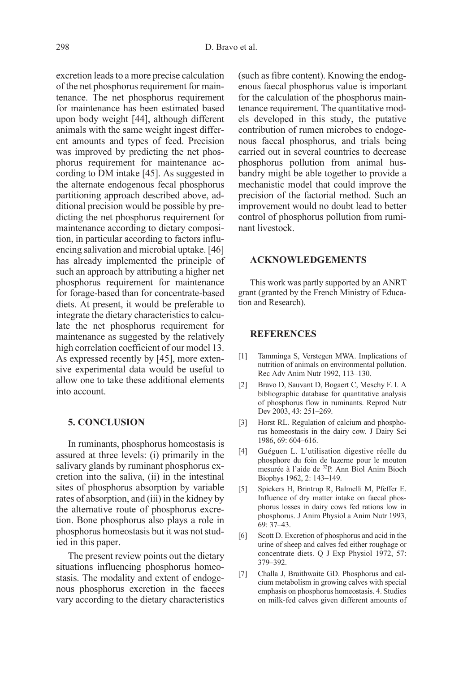excretion leads to a more precise calculation of the net phosphorus requirement for maintenance. The net phosphorus requirement for maintenance has been estimated based upon body weight [44], although different animals with the same weight ingest different amounts and types of feed. Precision was improved by predicting the net phosphorus requirement for maintenance according to DM intake [45]. As suggested in the alternate endogenous fecal phosphorus partitioning approach described above, additional precision would be possible by predicting the net phosphorus requirement for maintenance according to dietary composition, in particular according to factors influencing salivation and microbial uptake. [46] has already implemented the principle of such an approach by attributing a higher net phosphorus requirement for maintenance for forage-based than for concentrate-based diets. At present, it would be preferable to integrate the dietary characteristics to calculate the net phosphorus requirement for maintenance as suggested by the relatively high correlation coefficient of our model 13. As expressed recently by [45], more extensive experimental data would be useful to allow one to take these additional elements into account.

## 5. CONCLUSION

In ruminants, phosphorus homeostasis is assured at three levels: (i) primarily in the salivary glands by ruminant phosphorus excretion into the saliva, (ii) in the intestinal sites of phosphorus absorption by variable rates of absorption, and (iii) in the kidney by the alternative route of phosphorus excretion. Bone phosphorus also plays a role in phosphorus homeostasis but it was not studied in this paper.

The present review points out the dietary situations influencing phosphorus homeostasis. The modality and extent of endogenous phosphorus excretion in the faeces vary according to the dietary characteristics (such as fibre content). Knowing the endogenous faecal phosphorus value is important for the calculation of the phosphorus maintenance requirement. The quantitative models developed in this study, the putative contribution of rumen microbes to endogenous faecal phosphorus, and trials being carried out in several countries to decrease phosphorus pollution from animal husbandry might be able together to provide a mechanistic model that could improve the precision of the factorial method. Such an improvement would no doubt lead to better control of phosphorus pollution from ruminant livestock.

#### ACKNOWLEDGEMENTS

This work was partly supported by an ANRT grant (granted by the French Ministry of Education and Research).

#### **REFERENCES**

- [1] Tamminga S, Verstegen MWA. Implications of nutrition of animals on environmental pollution. Rec Adv Anim Nutr 1992, 113–130.
- [2] Bravo D, Sauvant D, Bogaert C, Meschy F. I. A bibliographic database for quantitative analysis of phosphorus flow in ruminants. Reprod Nutr Dev 2003, 43: 251–269.
- [3] Horst RL. Regulation of calcium and phosphorus homeostasis in the dairy cow. J Dairy Sci 1986, 69: 604–616.
- [4] Guéguen L. L'utilisation digestive réelle du phosphore du foin de luzerne pour le mouton mesurée à l'aide de 32P. Ann Biol Anim Bioch Biophys 1962, 2: 143–149.
- [5] Spiekers H, Brintrup R, Balmelli M, Pfeffer E. Influence of dry matter intake on faecal phosphorus losses in dairy cows fed rations low in phosphorus. J Anim Physiol a Anim Nutr 1993, 69: 37–43.
- [6] Scott D. Excretion of phosphorus and acid in the urine of sheep and calves fed either roughage or concentrate diets. Q J Exp Physiol 1972, 57: 379–392.
- [7] Challa J, Braithwaite GD. Phosphorus and calcium metabolism in growing calves with special emphasis on phosphorus homeostasis. 4. Studies on milk-fed calves given different amounts of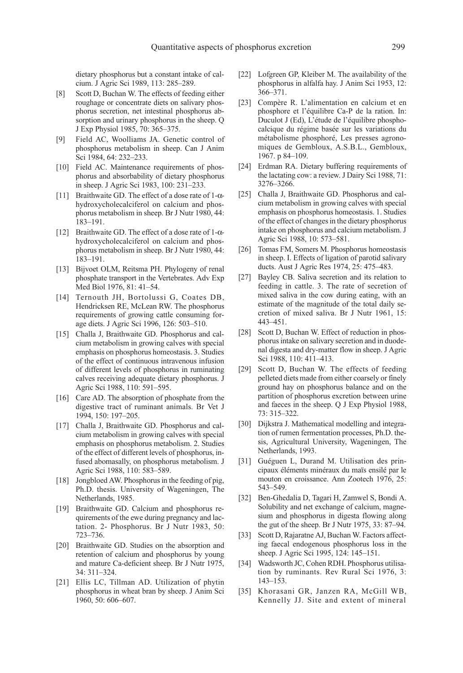dietary phosphorus but a constant intake of calcium. J Agric Sci 1989, 113: 285–289.

- [8] Scott D, Buchan W. The effects of feeding either roughage or concentrate diets on salivary phosphorus secretion, net intestinal phosphorus absorption and urinary phosphorus in the sheep. Q J Exp Physiol 1985, 70: 365–375.
- [9] Field AC, Woolliams JA. Genetic control of phosphorus metabolism in sheep. Can J Anim Sci 1984, 64: 232–233.
- [10] Field AC. Maintenance requirements of phosphorus and absorbability of dietary phosphorus in sheep. J Agric Sci 1983, 100: 231–233.
- [11] Braithwaite GD. The effect of a dose rate of 1-αhydroxycholecalciferol on calcium and phosphorus metabolism in sheep. Br J Nutr 1980, 44: 183–191.
- [12] Braithwaite GD. The effect of a dose rate of 1-αhydroxycholecalciferol on calcium and phosphorus metabolism in sheep. Br J Nutr 1980, 44: 183–191.
- [13] Bijvoet OLM, Reitsma PH. Phylogeny of renal phosphate transport in the Vertebrates. Adv Exp Med Biol 1976, 81: 41–54.
- [14] Ternouth JH, Bortolussi G, Coates DB, Hendricksen RE, McLean RW. The phosphorus requirements of growing cattle consuming forage diets. J Agric Sci 1996, 126: 503–510.
- [15] Challa J, Braithwaite GD. Phosphorus and calcium metabolism in growing calves with special emphasis on phosphorus homeostasis. 3. Studies of the effect of continuous intravenous infusion of different levels of phosphorus in ruminating calves receiving adequate dietary phosphorus. J Agric Sci 1988, 110: 591–595.
- [16] Care AD. The absorption of phosphate from the digestive tract of ruminant animals. Br Vet J 1994, 150: 197–205.
- [17] Challa J, Braithwaite GD. Phosphorus and calcium metabolism in growing calves with special emphasis on phosphorus metabolism. 2. Studies of the effect of different levels of phosphorus, infused abomasally, on phosphorus metabolism. J Agric Sci 1988, 110: 583–589.
- [18] Jongbloed AW. Phosphorus in the feeding of pig, Ph.D. thesis. University of Wageningen, The Netherlands, 1985.
- [19] Braithwaite GD. Calcium and phosphorus requirements of the ewe during pregnancy and lactation. 2- Phosphorus. Br J Nutr 1983, 50: 723–736.
- [20] Braithwaite GD. Studies on the absorption and retention of calcium and phosphorus by young and mature Ca-deficient sheep. Br J Nutr 1975, 34: 311–324.
- [21] Ellis LC, Tillman AD. Utilization of phytin phosphorus in wheat bran by sheep. J Anim Sci 1960, 50: 606–607.
- [22] Lofgreen GP, Kleiber M. The availability of the phosphorus in alfalfa hay. J Anim Sci 1953, 12: 366–371.
- [23] Compère R. L'alimentation en calcium et en phosphore et l'équilibre Ca-P de la ration. In: Duculot J (Ed), L'étude de l'équilibre phosphocalcique du régime basée sur les variations du métabolisme phosphoré, Les presses agronomiques de Gembloux, A.S.B.L., Gembloux, 1967. p 84–109.
- [24] Erdman RA. Dietary buffering requirements of the lactating cow: a review. J Dairy Sci 1988, 71: 3276–3266.
- [25] Challa J, Braithwaite GD. Phosphorus and calcium metabolism in growing calves with special emphasis on phosphorus homeostasis. 1. Studies of the effect of changes in the dietary phosphorus intake on phosphorus and calcium metabolism. J Agric Sci 1988, 10: 573–581.
- [26] Tomas FM, Somers M. Phosphorus homeostasis in sheep. I. Effects of ligation of parotid salivary ducts. Aust J Agric Res 1974, 25: 475–483.
- [27] Bayley CB. Saliva secretion and its relation to feeding in cattle. 3. The rate of secretion of mixed saliva in the cow during eating, with an estimate of the magnitude of the total daily secretion of mixed saliva. Br J Nutr 1961, 15: 443–451.
- [28] Scott D, Buchan W. Effect of reduction in phosphorus intake on salivary secretion and in duodenal digesta and dry-matter flow in sheep. J Agric Sci 1988, 110: 411–413.
- [29] Scott D, Buchan W. The effects of feeding pelleted diets made from either coarsely or finely ground hay on phosphorus balance and on the partition of phosphorus excretion between urine and faeces in the sheep. Q J Exp Physiol 1988, 73: 315–322.
- [30] Dijkstra J. Mathematical modelling and integration of rumen fermentation processes, Ph.D. thesis, Agricultural University, Wageningen, The Netherlands, 1993.
- [31] Guéguen L, Durand M. Utilisation des principaux éléments minéraux du maïs ensilé par le mouton en croissance. Ann Zootech 1976, 25: 543–549.
- [32] Ben-Ghedalia D, Tagari H, Zamwel S, Bondi A. Solubility and net exchange of calcium, magnesium and phosphorus in digesta flowing along the gut of the sheep. Br J Nutr 1975, 33: 87–94.
- [33] Scott D, Rajaratne AJ, Buchan W. Factors affecting faecal endogenous phosphorus loss in the sheep. J Agric Sci 1995, 124: 145–151.
- [34] Wadsworth JC, Cohen RDH. Phosphorus utilisation by ruminants. Rev Rural Sci 1976, 3: 143–153.
- [35] Khorasani GR, Janzen RA, McGill WB, Kennelly JJ. Site and extent of mineral